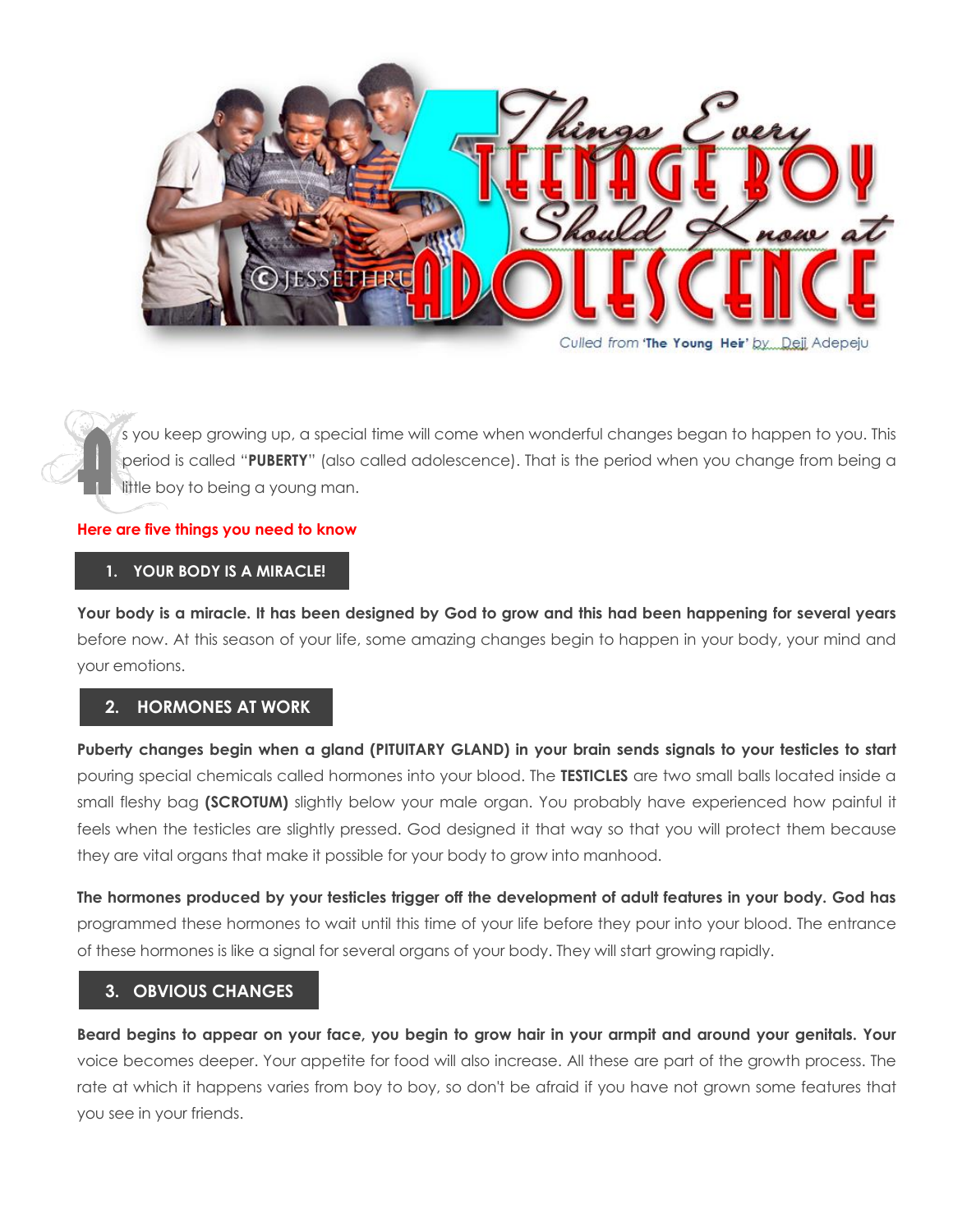

s you keep growing up, a special time will come when wonderful changes began to happen to you. This<br>period is called "**PUBERTY**" (also called adolescence). That is the period when you change from being a<br>little boy to bein period is called "**PUBERTY**" (also called adolescence). That is the period when you change from being a little boy to being a young man.  $\hat{\mathbf{A}}$ 

#### **Here are five things you need to know**

#### **1. YOUR BODY IS A MIRACLE!**

**Your body is a miracle. It has been designed by God to grow and this had been happening for several years** before now. At this season of your life, some amazing changes begin to happen in your body, your mind and your emotions.

### **2. HORMONES AT WORK**

**Puberty changes begin when a gland (PITUITARY GLAND) in your brain sends signals to your testicles to start** pouring special chemicals called hormones into your blood. The **TESTICLES** are two small balls located inside a small fleshy bag **(SCROTUM)** slightly below your male organ. You probably have experienced how painful it feels when the testicles are slightly pressed. God designed it that way so that you will protect them because they are vital organs that make it possible for your body to grow into manhood.

**The hormones produced by your testicles trigger off the development of adult features in your body. God has** programmed these hormones to wait until this time of your life before they pour into your blood. The entrance of these hormones is like a signal for several organs of your body. They will start growing rapidly.

### **3. OBVIOUS CHANGES**

**Beard begins to appear on your face, you begin to grow hair in your armpit and around your genitals. Your** voice becomes deeper. Your appetite for food will also increase. All these are part of the growth process. The rate at which it happens varies from boy to boy, so don't be afraid if you have not grown some features that you see in your friends.